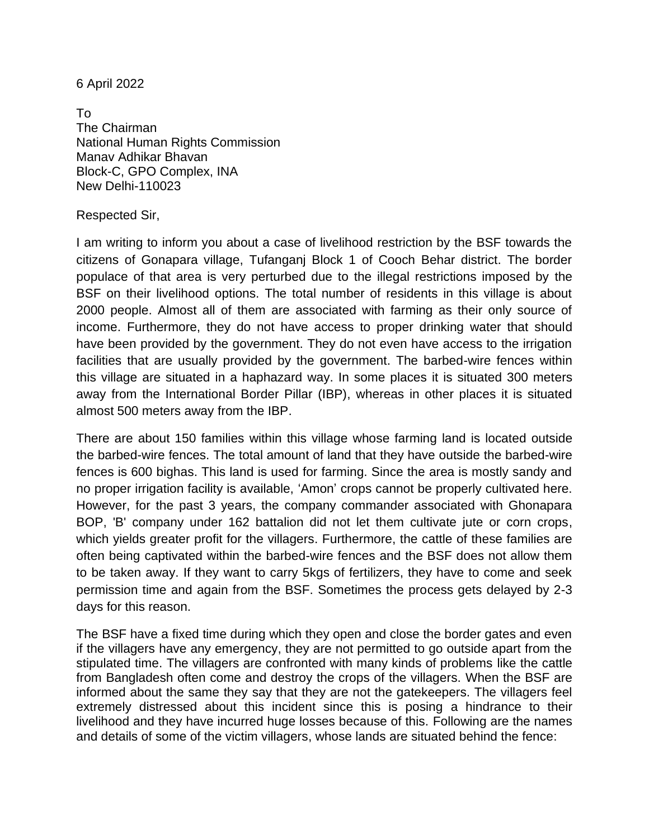6 April 2022

To The Chairman National Human Rights Commission Manav Adhikar Bhavan Block-C, GPO Complex, INA New Delhi-110023

## Respected Sir,

I am writing to inform you about a case of livelihood restriction by the BSF towards the citizens of Gonapara village, Tufanganj Block 1 of Cooch Behar district. The border populace of that area is very perturbed due to the illegal restrictions imposed by the BSF on their livelihood options. The total number of residents in this village is about 2000 people. Almost all of them are associated with farming as their only source of income. Furthermore, they do not have access to proper drinking water that should have been provided by the government. They do not even have access to the irrigation facilities that are usually provided by the government. The barbed-wire fences within this village are situated in a haphazard way. In some places it is situated 300 meters away from the International Border Pillar (IBP), whereas in other places it is situated almost 500 meters away from the IBP.

There are about 150 families within this village whose farming land is located outside the barbed-wire fences. The total amount of land that they have outside the barbed-wire fences is 600 bighas. This land is used for farming. Since the area is mostly sandy and no proper irrigation facility is available, 'Amon' crops cannot be properly cultivated here. However, for the past 3 years, the company commander associated with Ghonapara BOP, 'B' company under 162 battalion did not let them cultivate jute or corn crops, which yields greater profit for the villagers. Furthermore, the cattle of these families are often being captivated within the barbed-wire fences and the BSF does not allow them to be taken away. If they want to carry 5kgs of fertilizers, they have to come and seek permission time and again from the BSF. Sometimes the process gets delayed by 2-3 days for this reason.

The BSF have a fixed time during which they open and close the border gates and even if the villagers have any emergency, they are not permitted to go outside apart from the stipulated time. The villagers are confronted with many kinds of problems like the cattle from Bangladesh often come and destroy the crops of the villagers. When the BSF are informed about the same they say that they are not the gatekeepers. The villagers feel extremely distressed about this incident since this is posing a hindrance to their livelihood and they have incurred huge losses because of this. Following are the names and details of some of the victim villagers, whose lands are situated behind the fence: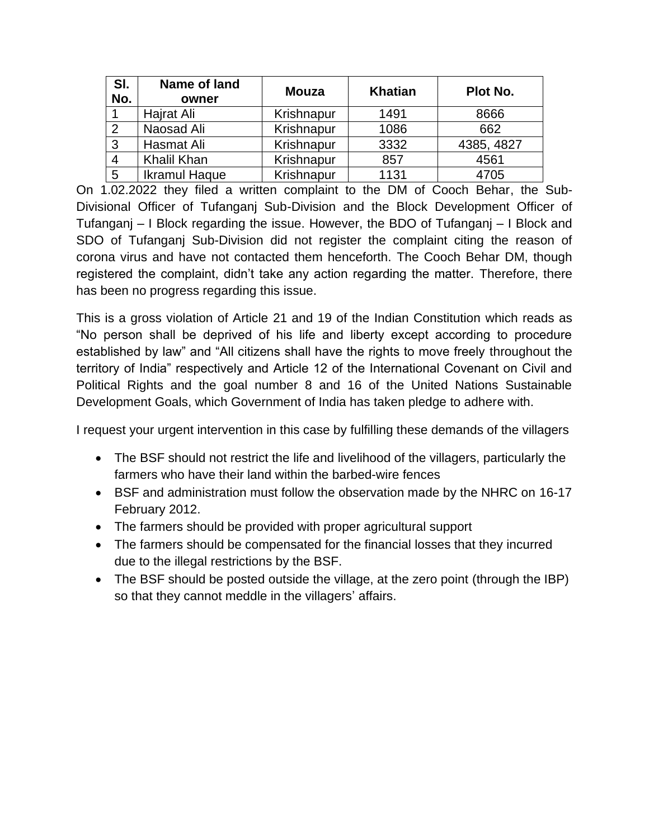| SI.<br>No.     | Name of land<br>owner | <b>Mouza</b> | <b>Khatian</b> | Plot No.   |
|----------------|-----------------------|--------------|----------------|------------|
|                | Hajrat Ali            | Krishnapur   | 1491           | 8666       |
| 2              | Naosad Ali            | Krishnapur   | 1086           | 662        |
| $\mathbf{3}$   | Hasmat Ali            | Krishnapur   | 3332           | 4385, 4827 |
| $\overline{4}$ | Khalil Khan           | Krishnapur   | 857            | 4561       |
| 5              | <b>Ikramul Haque</b>  | Krishnapur   | 1131           | 4705       |

On 1.02.2022 they filed a written complaint to the DM of Cooch Behar, the Sub-Divisional Officer of Tufanganj Sub-Division and the Block Development Officer of Tufanganj – I Block regarding the issue. However, the BDO of Tufanganj – I Block and SDO of Tufanganj Sub-Division did not register the complaint citing the reason of corona virus and have not contacted them henceforth. The Cooch Behar DM, though registered the complaint, didn't take any action regarding the matter. Therefore, there has been no progress regarding this issue.

This is a gross violation of Article 21 and 19 of the Indian Constitution which reads as "No person shall be deprived of his life and liberty except according to procedure established by law" and "All citizens shall have the rights to move freely throughout the territory of India" respectively and Article 12 of the International Covenant on Civil and Political Rights and the goal number 8 and 16 of the United Nations Sustainable Development Goals, which Government of India has taken pledge to adhere with.

I request your urgent intervention in this case by fulfilling these demands of the villagers

- The BSF should not restrict the life and livelihood of the villagers, particularly the farmers who have their land within the barbed-wire fences
- BSF and administration must follow the observation made by the NHRC on 16-17 February 2012.
- The farmers should be provided with proper agricultural support
- The farmers should be compensated for the financial losses that they incurred due to the illegal restrictions by the BSF.
- The BSF should be posted outside the village, at the zero point (through the IBP) so that they cannot meddle in the villagers' affairs.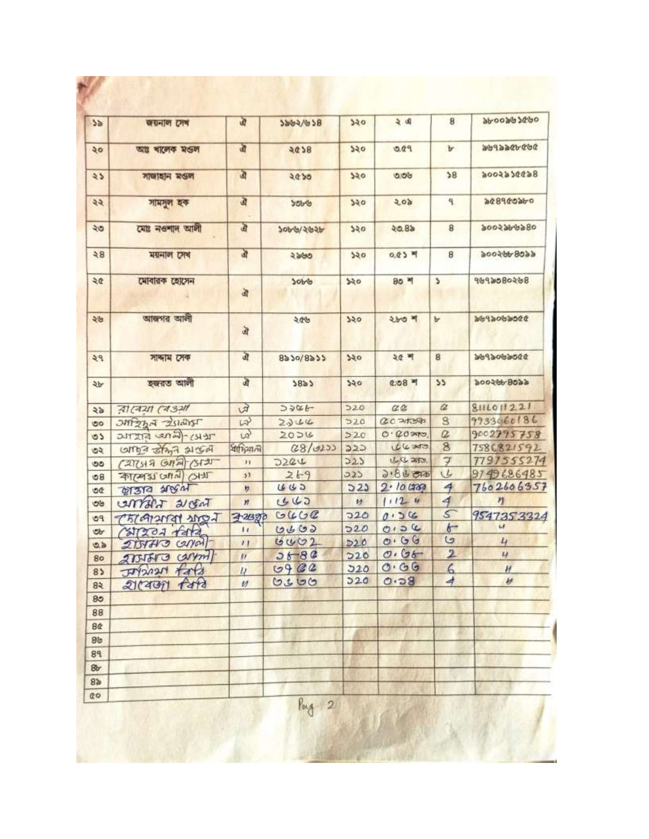| 5a             | জয়নাল সেব             | ঐ                | 9847678           | 550        | 与国           | 8                        | 9636980099                   |
|----------------|------------------------|------------------|-------------------|------------|--------------|--------------------------|------------------------------|
| ২০             | আঃ ৰালেক মঙল           | जी               | 5625              | 250        | 9.00         | Ъ                        | かどかぜかるとどがる                   |
| $\lambda$      | সাজাহান মণ্ডল          | $\mathfrak{D}$   | 2050              | २२०        | 900          | 38                       | 8699665006                   |
| ২২             | সামসুল হক              | ত্র              | SOb-6             | 250        | 505          | ٩                        | 96096998                     |
| ২৩             | মোঃ নওশাদ আলী          | जे               | २०११/२७२१         | 250        | 20.8a        | 8                        | १००२३४४३८०                   |
| 38             | ময়নাল সেখ             | $\mathbf{a}$     | ২৯৬৩              | 520        | $0.05$ म     | 8                        | 900599.9999                  |
| ২৫             | মোবারক হোসেন           | 亩                | 7008              | 550        | $80 - 1$     | ۵                        | 8050806P6P                   |
| ২৬             | আজগর আলী               | ত্র              | 906               | 520        | ২৮৩ শ        | Ъ                        | あるのだめのそとめだ                   |
| 29             | সান্দাম সেক            | ঐ                | $8a\ 50/8a\ 55$   | 550        | 3대 비         | 8                        | 0006606P66                   |
| ২৮             | হজরত আলী               | এ                | 5823              | 520        | $0.08 - 1$   | 55                       | 900599999                    |
| 45             | বাৰেয়া ৰেঙ্গা         | 田                | 3986              | 520        | C2           | $\alpha$                 | 8111011221                   |
| ಠಂ             | <b>UNITER A STRING</b> | $\omega$         | 2344              | 520        | 0020200      | 8                        | 9933060186                   |
| $\circ$        | TERY-(LAND STITLE      | $\omega$         | 2026              | 220        | $O. QO$ and  | $\Omega$                 | 9002795758                   |
| ৩২             | carried stand algori   | ধাদিমানী         | (28/020)          | 222        | 04.30        | $\overline{\mathbf{8}}$  | 7586821592                   |
| ৩૭             | (2713807)              | $\mathbf{H}$     | D22U              | 223        | しひみ          | $\overline{\mathcal{F}}$ | 7797555274                   |
| 68             | THIS INTO LEPASTE      | 53               | 269               | 323        | $3.86$ cas   | V                        | 9749686485                   |
| OC             | <b>WAR PLAL</b>        | n                | 445               | 523        | 2.10000      | $\overline{4}$           | 7602606357                   |
| ಅಆ             | CATTANT 21 GAT         | $\boldsymbol{n}$ | 443               | 矽          | 11124        | 4                        | n                            |
| PQ             | LOUGHALANDI            | 3-213970         | GUCC              | 720        | 0.56         | 5                        | 9547353324<br>$\overline{u}$ |
| <b>ob</b>      | Calendar Asta          | $\mathbf{L}$     | 0400              | 520        | 0.04<br>0.66 | $\overline{6}$<br>G      |                              |
| 0.5            | $215470$ $cylal$       | $^{\prime}$      | 0002              | D20        | 0.06         | $\overline{\mathbf{2}}$  | 4<br>L                       |
| 80             | 2751513 Carport        | $\mu$            | $26 - 80$<br>0902 | D20<br>520 | 0.66         | 6                        |                              |
| 85             | 444<br>herctre         | $\mu$            | 0300              | 220        | 0.58         | 4                        | H<br>H                       |
| 83             | গ্ৰামেজা বিষয          | $\nu$            |                   |            |              |                          |                              |
| 85             |                        |                  |                   |            |              |                          |                              |
| 88             |                        |                  |                   |            |              |                          |                              |
| <b>B</b>       |                        |                  |                   |            |              |                          |                              |
| 89             |                        |                  |                   |            |              |                          |                              |
| 89             |                        |                  |                   |            |              |                          |                              |
| 8r             |                        |                  |                   |            |              |                          |                              |
| 8 <sub>b</sub> |                        |                  |                   |            |              |                          |                              |
| 00             |                        |                  | Pag 2             |            |              |                          |                              |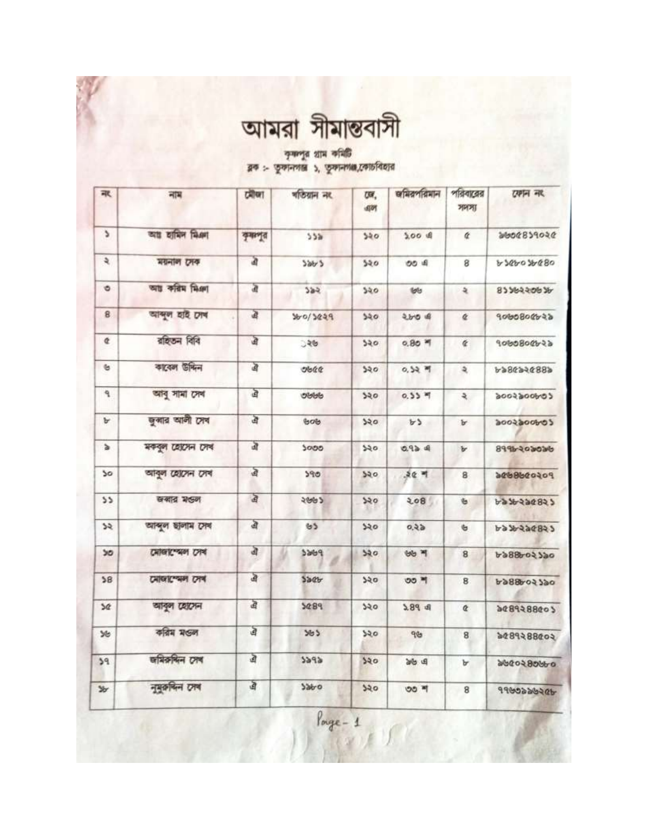| আমরা সীমান্তবাসী |  |  |
|------------------|--|--|
|                  |  |  |

কৃষ্ণপুর গ্রাম কমিটি<br>ব্লক :- তুকানগান্ত ১, তুকানগঞ্জ,কোচবিহার

| 承                             | 궤제               | ग्रीण   | গতিয়ান নং | UW.<br>国时 | জমিরপরিমান          | পরিবারের<br>সদস্য   | राणन नार    |
|-------------------------------|------------------|---------|------------|-----------|---------------------|---------------------|-------------|
| ۵                             | আয় হামিদ মিঞা   | कुमाणूत | 55a        | 340       | $5.00$ $\pm$        | ¢                   | 9606829046  |
| $\mathfrak{p}$                | ময়নাল সেক       | à       | 586/5      | 520       | OO A                | 8                   | 6894607680  |
| ۰                             | আঃ করিম মিঞা     | 面       | 382        | 550       | toto                | ર                   | 92256539    |
| 8                             | আব্দুল হাই দেখ   | 盈       | 360/3029   | 340       | $200$ of            | ¢                   | 9000800022  |
| ¢                             | রাইতন বিবি       | खे      | ुश्छ       | 520       | $0.80$ $M$          | $\epsilon$          | 9060800b22  |
| $\mathfrak{S}$                | কাবেল উদ্দিন     | 卤       | ob@        | 320       | 0,52.9              | $\mathfrak{p}$      | 6889563864  |
| ٩                             | আৰু সামা সেৰ     | এ       | obbb       | 520       | $0.55$ $*$          | $\ddot{\mathbf{z}}$ | codoodsoods |
| $\mathbf{b}$                  | জুৰার আলী সেব    | ঐ       | 60b        | 320       | b3                  | Ъ                   | codoogroop  |
| $\Delta$                      | মকবুল হোসেন সেখ  | 卤       | 5000       | 520       | 0.924               | Ъ                   | 99960603036 |
| 50                            | আবুল হোসেন সেখ   | ঐ       | 590        | 520       | $50 - 7$            | 8                   | 106099888   |
| 55                            | खबाद भड़न        | ঐ       | 5992       | 550       | 208                 | $\mathfrak b$       | 5998548977  |
| $\overline{\mathcal{L}}$      | আব্দুল ছালাম সেব | बे      | 65         | 520       | 0.25                | $\mathfrak{S}$      | 6836226823  |
| 50                            | মোজাস্থেল সেখ    | बे      | 3869       | 520       | <b>BB</b> 7         | 8                   | 6988602320  |
| 58                            | মোজাস্মেল সেখ    | ঐ       | 520        | 350       | ৩৩ শ                | 8                   | 6988602790  |
| 50                            | আবুল হোসেন       | बै      | 5089       | 320       | $2.89$ d            | ¢                   | 9489288005  |
| 36                            | করিম মণ্ডল       | ত্র     | 363        | 320       | 96                  | 8                   | 6008858804  |
| 39                            | জমিরুদ্দিন সেখ   | ঐ       | 5292       | २२०       | <b>B</b> di         | Ъ                   | 996086096   |
| $\mathcal{Y}_{\!\mathcal{T}}$ | নুমুক্তদিন সেব   | 卤       | 3990       | 320       | $00$ $\overline{q}$ | 8                   | ADSOCCORP   |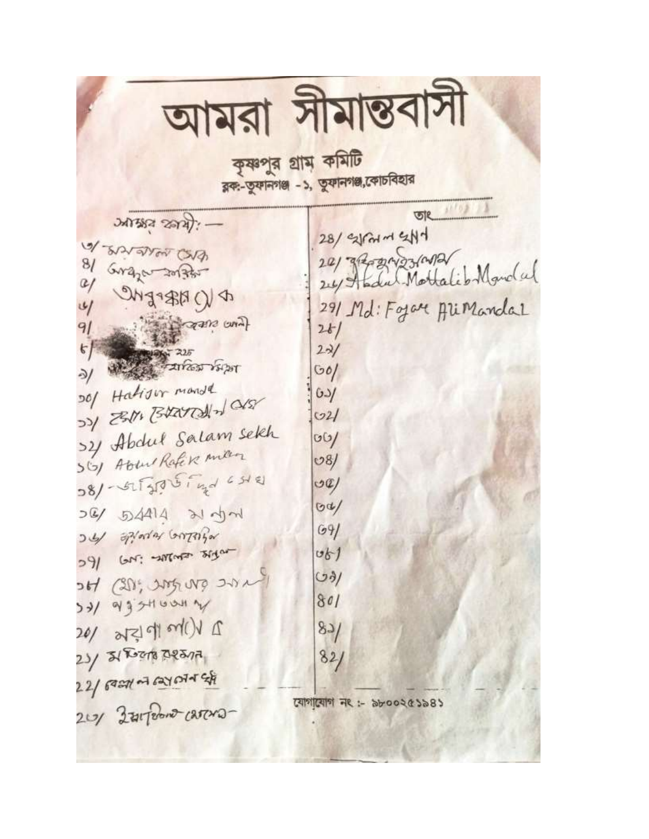|                                                                                                                                                                                                                                                                                                                                                                                                                                                          | আমরা সীমান্তবাসী                                                                                                                                                                                                                                                                                                                                                                                                                                                                                                                                                                          |
|----------------------------------------------------------------------------------------------------------------------------------------------------------------------------------------------------------------------------------------------------------------------------------------------------------------------------------------------------------------------------------------------------------------------------------------------------------|-------------------------------------------------------------------------------------------------------------------------------------------------------------------------------------------------------------------------------------------------------------------------------------------------------------------------------------------------------------------------------------------------------------------------------------------------------------------------------------------------------------------------------------------------------------------------------------------|
|                                                                                                                                                                                                                                                                                                                                                                                                                                                          | কৃষ্ণপুর গ্রাম কমিটি<br>রক:-তুফানগঞ্জ -১, তুফানগঞ্জ,কোচবিহার                                                                                                                                                                                                                                                                                                                                                                                                                                                                                                                              |
| <b>JATES SETAL</b><br>ABRO ANDREW CAS<br>8/ Grazo 2013to<br>4 QNZ+BHQ<br>A sero cural<br>91<br>$\mathcal{F}$<br>225<br>अध्याकि मिश्र<br>৯/<br>DO/ Hatisor manda<br>DOV CENTERATED 17/25<br>>21 Abdul Salam sekh<br>56) Abbel Rafek man<br>08/ - 52 5 27 0 5 1 mg 6 5 4 2<br>54/ 5414 21 JM<br>Jel zinter Gorzafor<br>$391$ GN: -2017-3110<br>by (20% room over)<br>34/9935H001W<br>$20/25$ and $41$ and $7$<br>23/ 21 Room DRESIA<br>$22/6901 + 6870775$ | $\begin{picture}(20,20) \put(0,0){\line(1,0){10}} \put(15,0){\line(1,0){10}} \put(15,0){\line(1,0){10}} \put(15,0){\line(1,0){10}} \put(15,0){\line(1,0){10}} \put(15,0){\line(1,0){10}} \put(15,0){\line(1,0){10}} \put(15,0){\line(1,0){10}} \put(15,0){\line(1,0){10}} \put(15,0){\line(1,0){10}} \put(15,0){\line(1,0){10}} \put(15,0){\line(1$<br>28/ 21 PM m 214<br>2019 2020 23/00/2<br>24/ Hadil Mottalib Marclal<br>291 Md: Fojar Ali Mandal<br>26/<br>$2 - 2/$<br>$\omega$<br>651<br>O2/<br>00/<br>08/<br>O(2)<br>$\omega$<br>69/<br>061<br>$O\frac{3}{2}$<br>801<br>83/<br>82/ |
| 20% Zurferond Carena-                                                                                                                                                                                                                                                                                                                                                                                                                                    | যোগাযোগ নং :- ৯৮০০২৫১৯৪১                                                                                                                                                                                                                                                                                                                                                                                                                                                                                                                                                                  |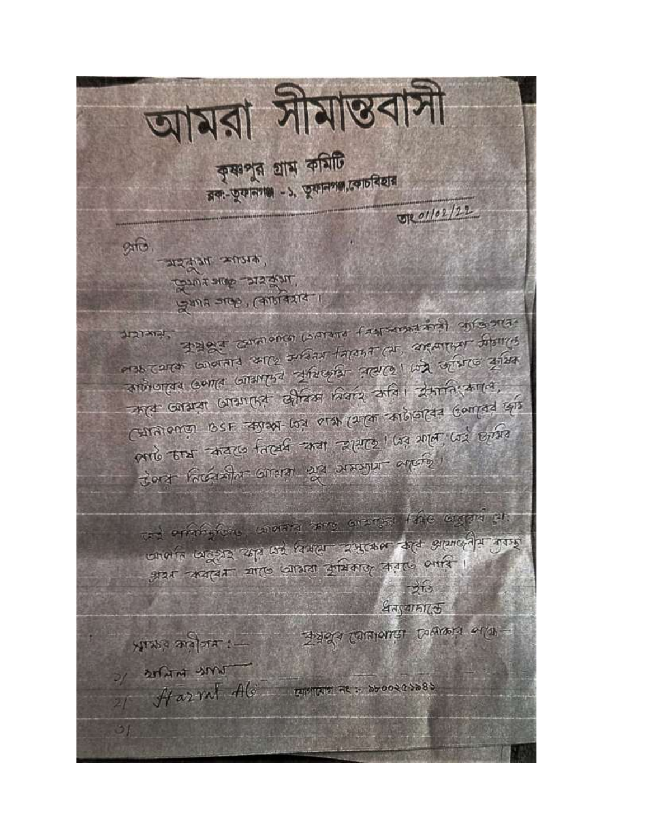আমরা সীমান্তবাসী কৃষ্ণপুর গ্রাম কমিটি রক-তুফানগঞ্জ -১, তুফানগজ,কোচবিহার 01/02/22 कारत- अनुकूल स्थानक, **CONSTRA CANE RUTO** प्रथम अक्ट, (कार्मनशर्द । 3 apple commonce Loanard fauronad anal opferona. TENELETE ons cerer conorara serre avant farana car, argammer distres and organized country through the change was abstracted कार जायदा जाग्यातिक सीवल नियार कवि। क्रमानि कालि, स्थिती enroy BSF कारण- log लक्ष (अर्क कार्टेजिसिन Genrad कार्ड लाएं काम सम्बद्ध निर्वात समय सामार किए मत लगते दिन Cort Facerada Gran 23 212552 argents and errorisfere, wherever some enterprise the engrave pro-जालाह जाडूक्रा कृति कर विवाह रुपुल्कल कहन असालवीय गुम्छ अत्र अन्नावर मार जात्रता कुमिकाकु कतर अपनि ।  $\rightarrow$  13 धनायामाऊ Transfer Campaign Command or 11-ALAR's subjects :- $3/2044$  and  $H$  azral  $Ab$  control as stood asses ா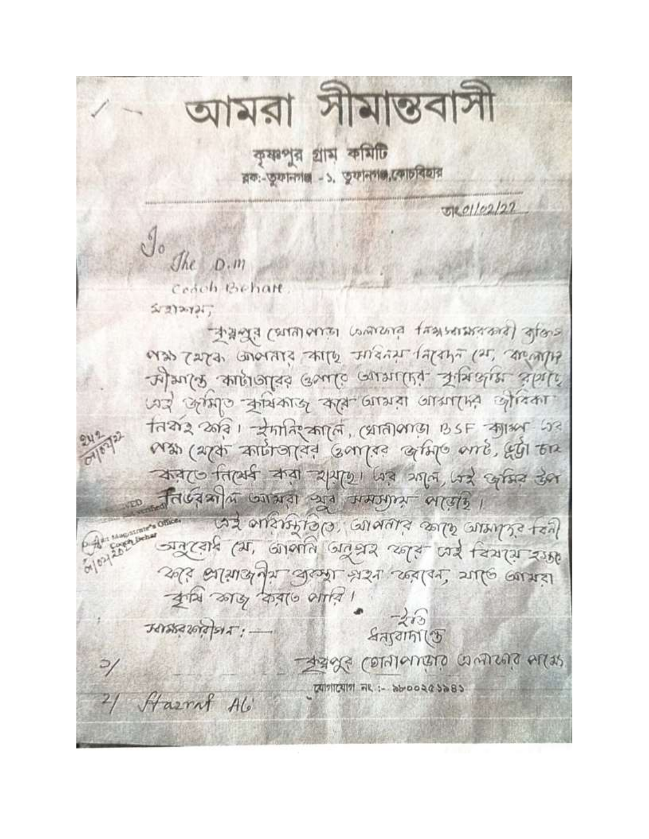আমরা সীমান্তবাসা কৃষ্ণপুর গ্রাম কমিটি রক:-তুফানগঞ্জ - ১. তুফানগঞ্জ,কোচবিহার 5201/02/27  $J_{o}$  $Jhe$   $D.m$ Cedeh Behalt こぼりみりょう कुर्मुस (प्राप्ता emit Lamana fransensivana) कुकिन् eras zara, conorare arro unana lapaza (ar, argana 2 July supported our course oursulig. Fixale since पर्याल कामा कार्यकाल कार्य लायका आयाति लोकका तियोर 2013 । रेमानि कार्ति, (प्रातीलाड़ा BSF गार्श्व 23 Ma (274 Antionida Garriso artife and, 451 En करेट निर्विय क्या शर्माणा जिले गया थाने केसिड़ देख निर्णयामा ख्याभारा खूब ममगुगम लाखाड़। bet elding ales Elevelte 'electricile Ed जनरहारी (या, जानाति जनसर स्वरूप पर्य चित्रप्रा राम 2013 अशिव में बुल्या भरत रहवान, याकि खायत কুমি জাড় করতে থারে।  $-213$ अमेर कर्ते अर: -ধন্যবাদা (ড CELLE CELLULUS CIGUOLES SOES  $\frac{1}{2}$   $\frac{1}{2}$   $\frac{1}{2}$   $\frac{1}{2}$   $\frac{1}{2}$   $\frac{1}{2}$   $\frac{1}{2}$   $\frac{1}{2}$   $\frac{1}{2}$   $\frac{1}{2}$   $\frac{1}{2}$   $\frac{1}{2}$   $\frac{1}{2}$   $\frac{1}{2}$   $\frac{1}{2}$   $\frac{1}{2}$   $\frac{1}{2}$   $\frac{1}{2}$   $\frac{1}{2}$   $\frac{1}{2}$   $\frac{1}{2}$   $\frac{1}{2}$  2/ Hazrnt Ali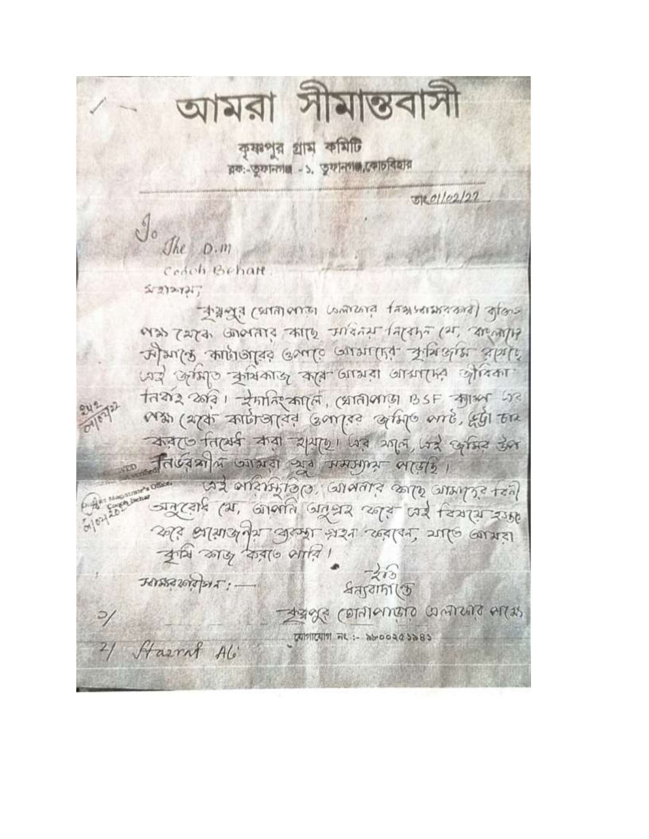আমরা সামান্তব কৃষ্ণপুর গ্রাম কমিটি রক: তুফানগঞ্জ - ১. তুফানগঞ্জ, কোচবিহার  $E[0]/[02]/22$ The  $D.m$ Cedeh Behalt  $5 - 272 - 721$ standa (malausi remova transmanal dians eras rapa conorare arroy tristal fapa (25, anony what shirts finished our about the shirts पर्याल कामराठ कार कार जाया आयामि लोगान नियार करें। समानि कार्ल, (प्रातीलाड़ा BSF कार्या 53 Man (apar antiropia i compre artife ente, Egi Era करेट निर्वित करा शुरुष्ठा जिस आले जिस देश निर्णया में जागरा ग्रेग ममज़ाम लाएंडि। les schener ales sieners coleration par जान रहारे (या, जानाति जानुसर कार्ड पर चियास रख कार आयार रेग्या अरम भरत करायन आणि खायारा কুমি জাড় করা ও সারি।  $-213$ उत्तर खोरीश्रमः ধন্যবাদা (ড  $\rightarrow$  and  $\sim$  algebraic countries. त्यागात्याग नए:- केल ००२८ ५ २८ 21 Harrol Ali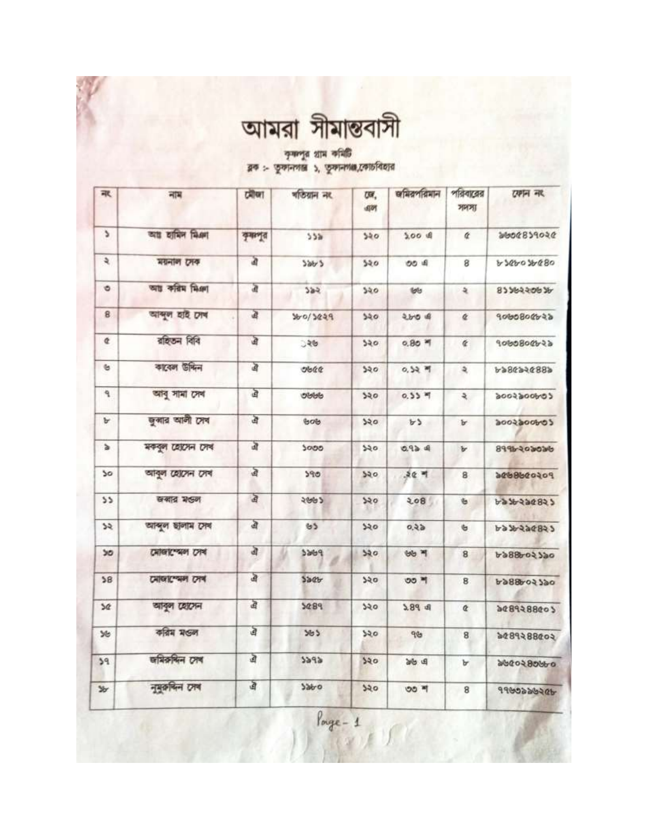| আমরা সীমান্তবাসী |  |  |
|------------------|--|--|
|                  |  |  |

কৃষ্ণপুর গ্রাম কমিটি<br>ব্লক :- তুকানগান্ত ১, তুকানগঞ্জ,কোচবিহার

| 承                             | 궤제               | ग्रीण   | গতিয়ান নং      | UW.<br>国时 | জমিরপরিমান          | পরিবারের<br>সদস্য   | राणन नार    |
|-------------------------------|------------------|---------|-----------------|-----------|---------------------|---------------------|-------------|
| ۵                             | আয় হামিদ মিঞা   | कुमाणूत | 55a             | 340       | $5.00$ $\pm$        | ¢                   | 9606829046  |
| $\mathfrak{p}$                | ময়নাল সেক       | à       | 586/5           | 520       | OO A                | 8                   | 6894607680  |
| ۰                             | আঃ করিম মিঞা     | 面       | 382             | 550       | toto                | ર                   | 92256539    |
| 8                             | আব্দুল হাই দেখ   | 盈       | 360/3029        | 340       | $200$ of            | ¢                   | 9000800022  |
| ¢                             | রাইতন বিবি       | खे      | ुश्छ            | 520       | $0.80$ $M$          | $\epsilon$          | 9060800b22  |
| $\mathfrak{S}$                | কাবেল উদ্দিন     | 卤       | ob@             | 320       | 0,52.9              | $\mathfrak{p}$      | 6889563864  |
| ٩                             | আৰু সামা সেৰ     | এ       | obbb            | 520       | $0.55$ $*$          | $\ddot{\mathbf{z}}$ | codoodsoods |
| $\mathbf{b}$                  | জুৰার আলী সেব    | ঐ       | 60 <sub>0</sub> | 320       | b3                  | Ъ                   | codoogroop  |
| $\Delta$                      | মকবুল হোসেন সেখ  | 卤       | 5000            | 520       | 0.924               | Ъ                   | 99960603036 |
| 50                            | আবুল হোসেন সেখ   | ঐ       | 590             | 520       | $50 - 7$            | 8                   | 106099888   |
| 55                            | खबाद भड़न        | ঐ       | 5992            | 550       | 208                 | $\mathfrak b$       | 5998548977  |
| $\overline{\mathcal{L}}$      | আব্দুল ছালাম সেব | बे      | 65              | 520       | 0.25                | $\mathfrak{S}$      | 6836226823  |
| 50                            | মোজাস্থেল সেখ    | बे      | 3869            | 520       | <b>BB</b> 7         | 8                   | 6988602320  |
| 58                            | মোজাস্মেল সেখ    | ঐ       | 520             | 350       | ৩৩ শ                | 8                   | 6988602790  |
| 50                            | আবুল হোসেন       | बै      | 5089            | 320       | $2.89$ d            | ¢                   | 9489288005  |
| 36                            | করিম মণ্ডল       | ত্র     | 363             | 320       | 96                  | 8                   | 6008858804  |
| 39                            | জমিরুদ্দিন সেখ   | ঐ       | 5292            | २२०       | <b>B</b> di         | Ъ                   | 996086096   |
| $\mathcal{Y}_{\!\mathcal{T}}$ | নুমুক্তদিন সেব   | 卤       | 3990            | 320       | $00$ $\overline{q}$ | 8                   | ADSOCCORP   |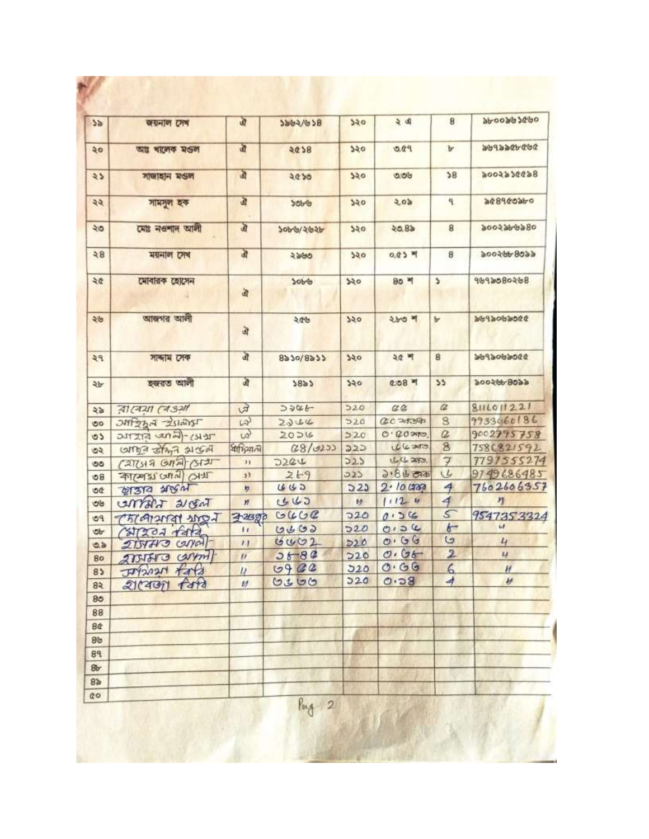| 5a             | জয়নাল সেব             | ঐ                | 9847678           | 550        | 与国           | 8                        | 9636980099                   |
|----------------|------------------------|------------------|-------------------|------------|--------------|--------------------------|------------------------------|
| ২০             | আঃ ৰালেক মঙল           | जी               | 5625              | 250        | 9.00         | Ъ                        | かどかぜかるとどがる                   |
| $\lambda$      | সাজাহান মণ্ডল          | $\mathfrak{D}$   | 2050              | २२०        | 900          | 38                       | 8699665006                   |
| ২২             | সামসুল হক              | ত্র              | SOb-6             | 250        | 505          | ٩                        | 96096998                     |
| ২৩             | মোঃ নওশাদ আলী          | जे               | २०११/२७२१         | 250        | 20.8a        | 8                        | १००२३४४३८०                   |
| 38             | ময়নাল সেখ             | $\mathbf{a}$     | ২৯৬৩              | 520        | $0.05$ म     | 8                        | 900599.9999                  |
| ২৫             | মোবারক হোসেন           | 亩                | 7008              | 550        | $80 - 1$     | ۵                        | 8050806P6P                   |
| ২৬             | আজগর আলী               | ত্র              | 906               | 520        | ২৮৩ শ        | Ъ                        | あるのだめのそとめだ                   |
| 29             | সান্দাম সেক            | ঐ                | $8a\ 50/8a\ 55$   | 550        | 3대 비         | 8                        | 0006606P66                   |
| ২৮             | হজরত আলী               | এ                | 5823              | 520        | $0.08$ শ     | 55                       | 900599999                    |
| 45             | বাৰেয়া ৰেঙ্গা         | 田                | 3986              | 520        | C2           | $\alpha$                 | 8111011221                   |
| ಠಂ             | <b>UNITER A STRING</b> | $\omega$         | 2344              | 520        | 0020200      | 8                        | 9933060186                   |
| $\circ$        | TERY-(LAND STITLE      | $\omega$         | 2026              | 220        | $O. QO$ and  | $\Omega$                 | 9002795758                   |
| ৩২             | carried stand algori   | ধাদিমানী         | (28/020)          | 222        | 04.30        | $\overline{\mathbf{8}}$  | 7586821592                   |
| ৩૭             | (2713807)              | $\mathbf{H}$     | D22U              | 223        | しひみ          | $\overline{\mathcal{F}}$ | 7797555274                   |
| 68             | THIS INTO LEPASTE      | 53               | 269               | 323        | $3.86$ cas   | V                        | 9749686485                   |
| OC             | <b>WAR PLAL</b>        | n                | 445               | 523        | 2.10000      | $\overline{4}$           | 7602606357                   |
| ಅಆ             | CATTANT 21 GAT         | $\boldsymbol{n}$ | 443               | 矽          | 11124        | 4                        | n                            |
| PQ             | LOUGHALANDI            | 3-213970         | GUCC              | 720        | 0.56         | 5                        | 9547353324<br>$\overline{u}$ |
| <b>ob</b>      | Calendar Asta          | $\mathbf{L}$     | 0400              | 520        | 0.04<br>0.66 | $\overline{6}$<br>G      |                              |
| 0.5            | $215470$ $cylal$       | $^{\prime}$      | 0002              | D20        | 0.06         | $\overline{\mathbf{2}}$  | 4<br>L                       |
| 80             | 2751513 Carport        | $\mu$            | $26 - 80$<br>0902 | D20<br>520 | 0.66         | 6                        |                              |
| 85             | 444<br>herctre         | $\mu$            | 0300              | 220        | 0.58         | 4                        | H<br>H                       |
| 83             | গ্ৰামেজা বিষয          | $\nu$            |                   |            |              |                          |                              |
| 85             |                        |                  |                   |            |              |                          |                              |
| 88             |                        |                  |                   |            |              |                          |                              |
| <b>B</b>       |                        |                  |                   |            |              |                          |                              |
| 89             |                        |                  |                   |            |              |                          |                              |
| 89             |                        |                  |                   |            |              |                          |                              |
| 8r             |                        |                  |                   |            |              |                          |                              |
| 8 <sub>b</sub> |                        |                  |                   |            |              |                          |                              |
| 00             |                        |                  | Pag 2             |            |              |                          |                              |